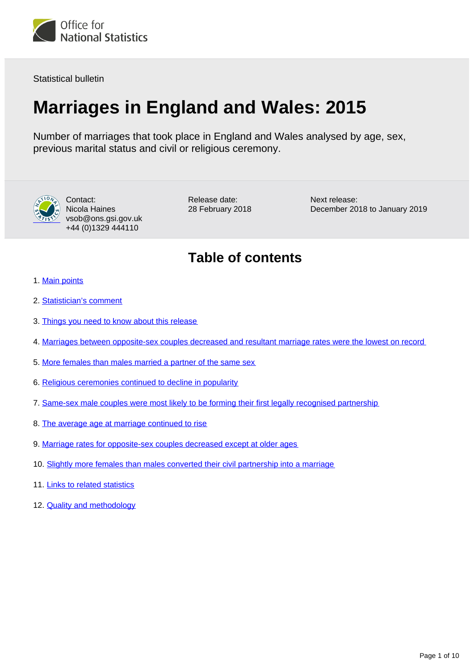

Statistical bulletin

## **Marriages in England and Wales: 2015**

Number of marriages that took place in England and Wales analysed by age, sex, previous marital status and civil or religious ceremony.



Contact: Nicola Haines vsob@ons.gsi.gov.uk +44 (0)1329 444110

Release date: 28 February 2018 Next release: December 2018 to January 2019

### **Table of contents**

- 1. [Main points](#page-1-0)
- 2. [Statistician's comment](#page-1-1)
- 3. [Things you need to know about this release](#page-1-2)
- 4. [Marriages between opposite-sex couples decreased and resultant marriage rates were the lowest on record](#page-2-0)
- 5. [More females than males married a partner of the same sex](#page-5-0)
- 6. [Religious ceremonies continued to decline in popularity](#page-6-0)
- 7. [Same-sex male couples were most likely to be forming their first legally recognised partnership](#page-6-1)
- 8. [The average age at marriage continued to rise](#page-6-2)
- 9. [Marriage rates for opposite-sex couples decreased except at older ages](#page-7-0)
- 10. [Slightly more females than males converted their civil partnership into a marriage](#page-8-0)
- 11. [Links to related statistics](#page-8-1)
- 12. **[Quality and methodology](#page-9-0)**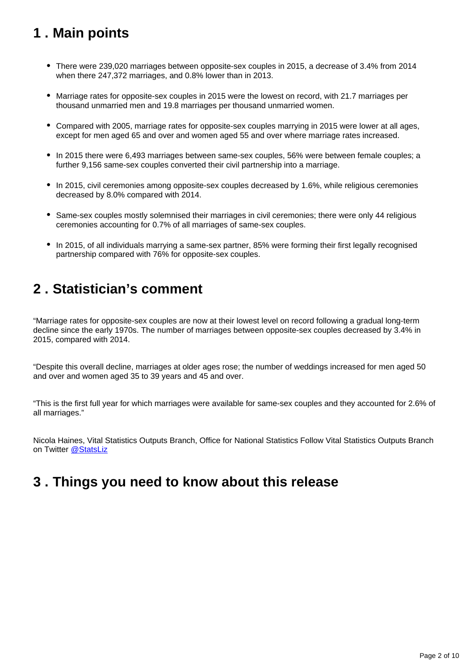### <span id="page-1-0"></span>**1 . Main points**

- There were 239,020 marriages between opposite-sex couples in 2015, a decrease of 3.4% from 2014 when there 247,372 marriages, and 0.8% lower than in 2013.
- Marriage rates for opposite-sex couples in 2015 were the lowest on record, with 21.7 marriages per thousand unmarried men and 19.8 marriages per thousand unmarried women.
- Compared with 2005, marriage rates for opposite-sex couples marrying in 2015 were lower at all ages, except for men aged 65 and over and women aged 55 and over where marriage rates increased.
- In 2015 there were 6,493 marriages between same-sex couples, 56% were between female couples; a further 9,156 same-sex couples converted their civil partnership into a marriage.
- In 2015, civil ceremonies among opposite-sex couples decreased by 1.6%, while religious ceremonies decreased by 8.0% compared with 2014.
- Same-sex couples mostly solemnised their marriages in civil ceremonies; there were only 44 religious ceremonies accounting for 0.7% of all marriages of same-sex couples.
- In 2015, of all individuals marrying a same-sex partner, 85% were forming their first legally recognised partnership compared with 76% for opposite-sex couples.

### <span id="page-1-1"></span>**2 . Statistician's comment**

"Marriage rates for opposite-sex couples are now at their lowest level on record following a gradual long-term decline since the early 1970s. The number of marriages between opposite-sex couples decreased by 3.4% in 2015, compared with 2014.

"Despite this overall decline, marriages at older ages rose; the number of weddings increased for men aged 50 and over and women aged 35 to 39 years and 45 and over.

"This is the first full year for which marriages were available for same-sex couples and they accounted for 2.6% of all marriages."

Nicola Haines, Vital Statistics Outputs Branch, Office for National Statistics Follow Vital Statistics Outputs Branch on Twitter [@StatsLiz](https://twitter.com/statsliz?lang=en)

### <span id="page-1-2"></span>**3 . Things you need to know about this release**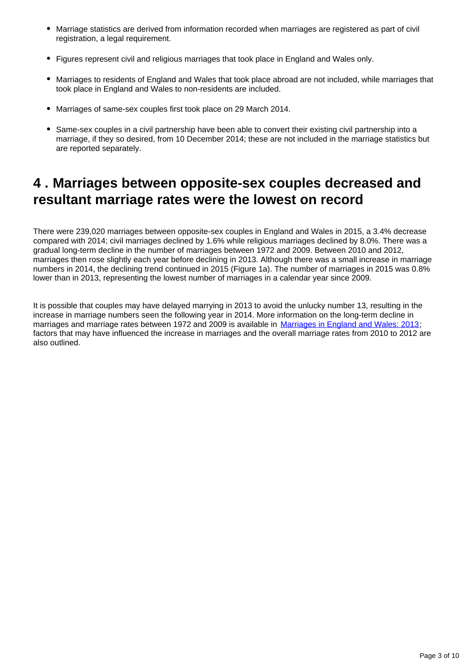- Marriage statistics are derived from information recorded when marriages are registered as part of civil registration, a legal requirement.
- Figures represent civil and religious marriages that took place in England and Wales only.
- Marriages to residents of England and Wales that took place abroad are not included, while marriages that took place in England and Wales to non-residents are included.
- Marriages of same-sex couples first took place on 29 March 2014.
- Same-sex couples in a civil partnership have been able to convert their existing civil partnership into a marriage, if they so desired, from 10 December 2014; these are not included in the marriage statistics but are reported separately.

### <span id="page-2-0"></span>**4 . Marriages between opposite-sex couples decreased and resultant marriage rates were the lowest on record**

There were 239,020 marriages between opposite-sex couples in England and Wales in 2015, a 3.4% decrease compared with 2014; civil marriages declined by 1.6% while religious marriages declined by 8.0%. There was a gradual long-term decline in the number of marriages between 1972 and 2009. Between 2010 and 2012, marriages then rose slightly each year before declining in 2013. Although there was a small increase in marriage numbers in 2014, the declining trend continued in 2015 (Figure 1a). The number of marriages in 2015 was 0.8% lower than in 2013, representing the lowest number of marriages in a calendar year since 2009.

It is possible that couples may have delayed marrying in 2013 to avoid the unlucky number 13, resulting in the increase in marriage numbers seen the following year in 2014. More information on the long-term decline in marriages and marriage rates between 1972 and 2009 is available in [Marriages in England and Wales: 2013](https://www.ons.gov.uk/peoplepopulationandcommunity/birthsdeathsandmarriages/marriagecohabitationandcivilpartnerships/bulletins/marriagesinenglandandwalesprovisional/2013); factors that may have influenced the increase in marriages and the overall marriage rates from 2010 to 2012 are also outlined.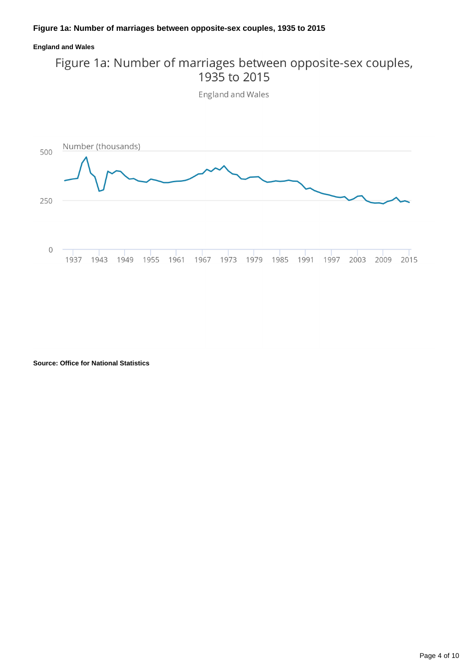#### **England and Wales**

# Figure 1a: Number of marriages between opposite-sex couples,<br>1935 to 2015

England and Wales



**Source: Office for National Statistics**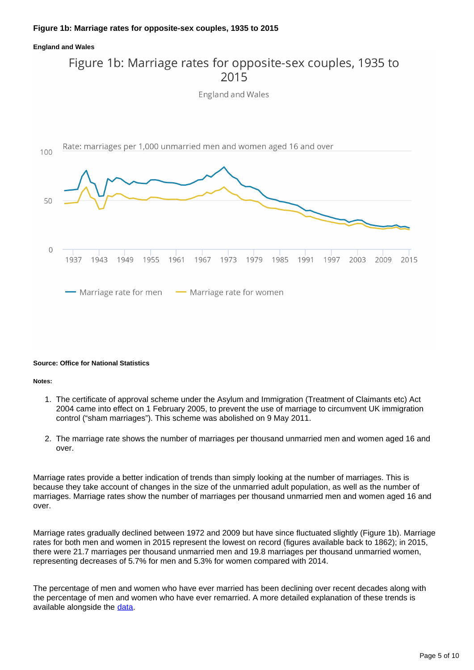#### **England and Wales**

### Figure 1b: Marriage rates for opposite-sex couples, 1935 to 2015 England and Wales



#### **Source: Office for National Statistics**

#### **Notes:**

- 1. The certificate of approval scheme under the Asylum and Immigration (Treatment of Claimants etc) Act 2004 came into effect on 1 February 2005, to prevent the use of marriage to circumvent UK immigration control ("sham marriages"). This scheme was abolished on 9 May 2011.
- 2. The marriage rate shows the number of marriages per thousand unmarried men and women aged 16 and over.

Marriage rates provide a better indication of trends than simply looking at the number of marriages. This is because they take account of changes in the size of the unmarried adult population, as well as the number of marriages. Marriage rates show the number of marriages per thousand unmarried men and women aged 16 and over.

Marriage rates gradually declined between 1972 and 2009 but have since fluctuated slightly (Figure 1b). Marriage rates for both men and women in 2015 represent the lowest on record (figures available back to 1862); in 2015, there were 21.7 marriages per thousand unmarried men and 19.8 marriages per thousand unmarried women, representing decreases of 5.7% for men and 5.3% for women compared with 2014.

The percentage of men and women who have ever married has been declining over recent decades along with the percentage of men and women who have ever remarried. A more detailed explanation of these trends is available alongside the [data](https://www.ons.gov.uk/peoplepopulationandcommunity/birthsdeathsandmarriages/marriagecohabitationandcivilpartnerships/datasets/marriagesinenglandandwales2013).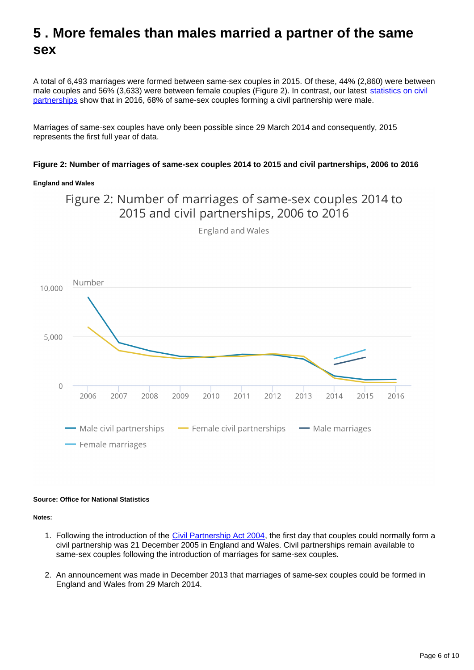### <span id="page-5-0"></span>**5 . More females than males married a partner of the same sex**

A total of 6,493 marriages were formed between same-sex couples in 2015. Of these, 44% (2,860) were between male couples and 56% (3,633) were between female couples (Figure 2). In contrast, our latest statistics on civil [partnerships](https://www.ons.gov.uk/peoplepopulationandcommunity/birthsdeathsandmarriages/marriagecohabitationandcivilpartnerships/bulletins/civilpartnershipsinenglandandwales/2016) show that in 2016, 68% of same-sex couples forming a civil partnership were male.

Marriages of same-sex couples have only been possible since 29 March 2014 and consequently, 2015 represents the first full year of data.

#### **Figure 2: Number of marriages of same-sex couples 2014 to 2015 and civil partnerships, 2006 to 2016**

#### **England and Wales**

Figure 2: Number of marriages of same-sex couples 2014 to 2015 and civil partnerships, 2006 to 2016



England and Wales

#### **Source: Office for National Statistics**

**Notes:**

- 1. Following the introduction of the [Civil Partnership Act 2004,](http://www.legislation.gov.uk/ukpga/2004/33/contents) the first day that couples could normally form a civil partnership was 21 December 2005 in England and Wales. Civil partnerships remain available to same-sex couples following the introduction of marriages for same-sex couples.
- 2. An announcement was made in December 2013 that marriages of same-sex couples could be formed in England and Wales from 29 March 2014.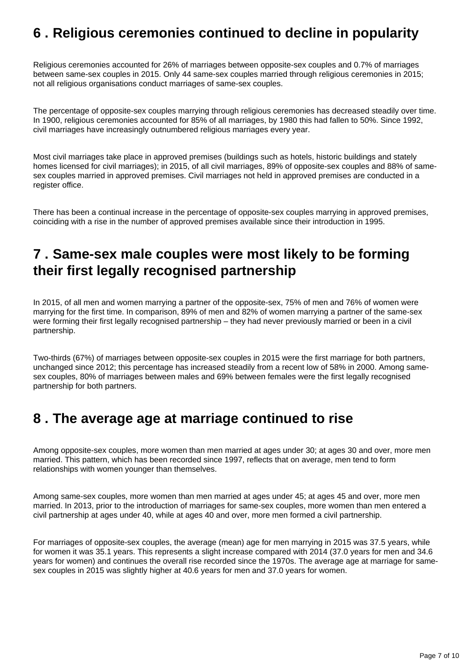### <span id="page-6-0"></span>**6 . Religious ceremonies continued to decline in popularity**

Religious ceremonies accounted for 26% of marriages between opposite-sex couples and 0.7% of marriages between same-sex couples in 2015. Only 44 same-sex couples married through religious ceremonies in 2015; not all religious organisations conduct marriages of same-sex couples.

The percentage of opposite-sex couples marrying through religious ceremonies has decreased steadily over time. In 1900, religious ceremonies accounted for 85% of all marriages, by 1980 this had fallen to 50%. Since 1992, civil marriages have increasingly outnumbered religious marriages every year.

Most civil marriages take place in approved premises (buildings such as hotels, historic buildings and stately homes licensed for civil marriages); in 2015, of all civil marriages, 89% of opposite-sex couples and 88% of samesex couples married in approved premises. Civil marriages not held in approved premises are conducted in a register office.

There has been a continual increase in the percentage of opposite-sex couples marrying in approved premises, coinciding with a rise in the number of approved premises available since their introduction in 1995.

### <span id="page-6-1"></span>**7 . Same-sex male couples were most likely to be forming their first legally recognised partnership**

In 2015, of all men and women marrying a partner of the opposite-sex, 75% of men and 76% of women were marrying for the first time. In comparison, 89% of men and 82% of women marrying a partner of the same-sex were forming their first legally recognised partnership – they had never previously married or been in a civil partnership.

Two-thirds (67%) of marriages between opposite-sex couples in 2015 were the first marriage for both partners, unchanged since 2012; this percentage has increased steadily from a recent low of 58% in 2000. Among samesex couples, 80% of marriages between males and 69% between females were the first legally recognised partnership for both partners.

### <span id="page-6-2"></span>**8 . The average age at marriage continued to rise**

Among opposite-sex couples, more women than men married at ages under 30; at ages 30 and over, more men married. This pattern, which has been recorded since 1997, reflects that on average, men tend to form relationships with women younger than themselves.

Among same-sex couples, more women than men married at ages under 45; at ages 45 and over, more men married. In 2013, prior to the introduction of marriages for same-sex couples, more women than men entered a civil partnership at ages under 40, while at ages 40 and over, more men formed a civil partnership.

For marriages of opposite-sex couples, the average (mean) age for men marrying in 2015 was 37.5 years, while for women it was 35.1 years. This represents a slight increase compared with 2014 (37.0 years for men and 34.6 years for women) and continues the overall rise recorded since the 1970s. The average age at marriage for samesex couples in 2015 was slightly higher at 40.6 years for men and 37.0 years for women.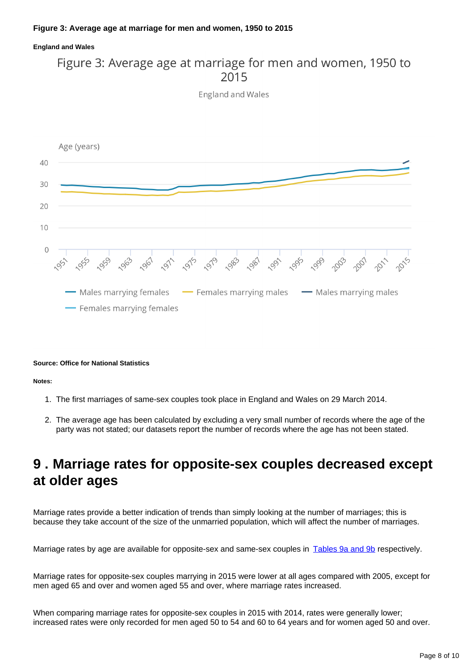#### **Figure 3: Average age at marriage for men and women, 1950 to 2015**

#### **England and Wales**

### Figure 3: Average age at marriage for men and women, 1950 to 2015

**England and Wales** 



#### **Source: Office for National Statistics**

**Notes:**

- 1. The first marriages of same-sex couples took place in England and Wales on 29 March 2014.
- 2. The average age has been calculated by excluding a very small number of records where the age of the party was not stated; our datasets report the number of records where the age has not been stated.

### <span id="page-7-0"></span>**9 . Marriage rates for opposite-sex couples decreased except at older ages**

Marriage rates provide a better indication of trends than simply looking at the number of marriages; this is because they take account of the size of the unmarried population, which will affect the number of marriages.

Marriage rates by age are available for opposite-sex and same-sex couples in [Tables 9a and 9b](https://www.ons.gov.uk/peoplepopulationandcommunity/birthsdeathsandmarriages/marriagecohabitationandcivilpartnerships/datasets/marriagesinenglandandwales2013) respectively.

Marriage rates for opposite-sex couples marrying in 2015 were lower at all ages compared with 2005, except for men aged 65 and over and women aged 55 and over, where marriage rates increased.

When comparing marriage rates for opposite-sex couples in 2015 with 2014, rates were generally lower; increased rates were only recorded for men aged 50 to 54 and 60 to 64 years and for women aged 50 and over.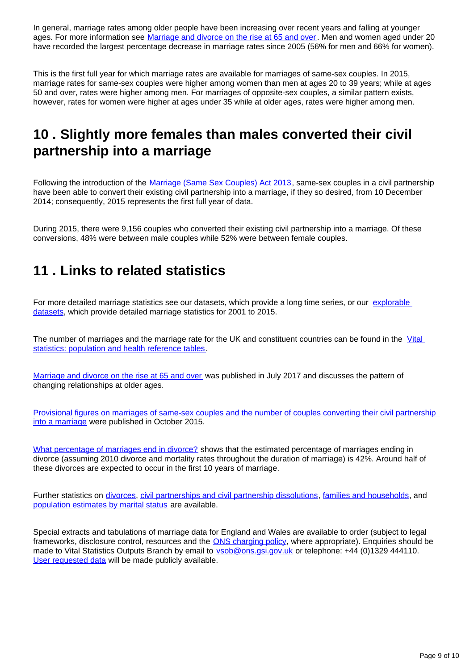In general, marriage rates among older people have been increasing over recent years and falling at younger ages. For more information see [Marriage and divorce on the rise at 65 and over](https://visual.ons.gov.uk/marriage-and-divorce-on-the-rise-at-65-and-over/). Men and women aged under 20 have recorded the largest percentage decrease in marriage rates since 2005 (56% for men and 66% for women).

This is the first full year for which marriage rates are available for marriages of same-sex couples. In 2015, marriage rates for same-sex couples were higher among women than men at ages 20 to 39 years; while at ages 50 and over, rates were higher among men. For marriages of opposite-sex couples, a similar pattern exists, however, rates for women were higher at ages under 35 while at older ages, rates were higher among men.

### <span id="page-8-0"></span>**10 . Slightly more females than males converted their civil partnership into a marriage**

Following the introduction of the [Marriage \(Same Sex Couples\) Act 2013,](http://www.legislation.gov.uk/ukpga/2013/30/contents/enacted) same-sex couples in a civil partnership have been able to convert their existing civil partnership into a marriage, if they so desired, from 10 December 2014; consequently, 2015 represents the first full year of data.

During 2015, there were 9,156 couples who converted their existing civil partnership into a marriage. Of these conversions, 48% were between male couples while 52% were between female couples.

### <span id="page-8-1"></span>**11 . Links to related statistics**

For more detailed marriage statistics see our datasets, which provide a long time series, or our explorable [datasets,](https://www.nomisweb.co.uk/query/select/getdatasetbytheme.asp?theme=73) which provide detailed marriage statistics for 2001 to 2015.

The number of marriages and the marriage rate for the UK and constituent countries can be found in the Vital [statistics: population and health reference tables](http://www.ons.gov.uk/peoplepopulationandcommunity/populationandmigration/populationestimates/datasets/vitalstatisticspopulationandhealthreferencetables).

[Marriage and divorce on the rise at 65 and over](https://visual.ons.gov.uk/marriage-and-divorce-on-the-rise-at-65-and-over/) was published in July 2017 and discusses the pattern of changing relationships at older ages.

Provisional figures on marriages of same-sex couples and the number of couples converting their civil partnership [into a marriage](http://webarchive.nationalarchives.gov.uk/20160105160709/http:/www.ons.gov.uk/ons/rel/vsob1/marriages-in-england-and-wales--provisional-/for-same-sex-couples--2014/sty-for-same-sex-couples-2014.html) were published in October 2015.

[What percentage of marriages end in divorce?](http://webarchive.nationalarchives.gov.uk/20160105160709/http:/www.ons.gov.uk/ons/rel/vsob1/divorces-in-england-and-wales/2011/sty-what-percentage-of-marriages-end-in-divorce.html) shows that the estimated percentage of marriages ending in divorce (assuming 2010 divorce and mortality rates throughout the duration of marriage) is 42%. Around half of these divorces are expected to occur in the first 10 years of marriage.

Further statistics on [divorces,](http://www.ons.gov.uk/peoplepopulationandcommunity/birthsdeathsandmarriages/divorce/bulletins/divorcesinenglandandwales/previousReleases) [civil partnerships and civil partnership dissolutions,](http://www.ons.gov.uk/peoplepopulationandcommunity/birthsdeathsandmarriages/marriagecohabitationandcivilpartnerships/bulletins/civilpartnershipsinenglandandwales/previousReleases) [families and households](http://www.ons.gov.uk/peoplepopulationandcommunity/birthsdeathsandmarriages/families/bulletins/familiesandhouseholds/previousReleases), and [population estimates by marital status](http://www.ons.gov.uk/peoplepopulationandcommunity/populationandmigration/populationestimates/bulletins/populationestimatesbymaritalstatusandlivingarrangements/previousReleases) are available.

Special extracts and tabulations of marriage data for England and Wales are available to order (subject to legal frameworks, disclosure control, resources and the **ONS** charging policy, where appropriate). Enquiries should be made to Vital Statistics Outputs Branch by email to **vsob@ons.gsi.gov.uk** or telephone: +44 (0)1329 444110. [User requested data](https://www.ons.gov.uk/peoplepopulationandcommunity/birthsdeathsandmarriages/marriagecohabitationandcivilpartnerships/datalist?sortBy=release_date&query=&filter=user_requested_data&fromDate=&toDate=) will be made publicly available.